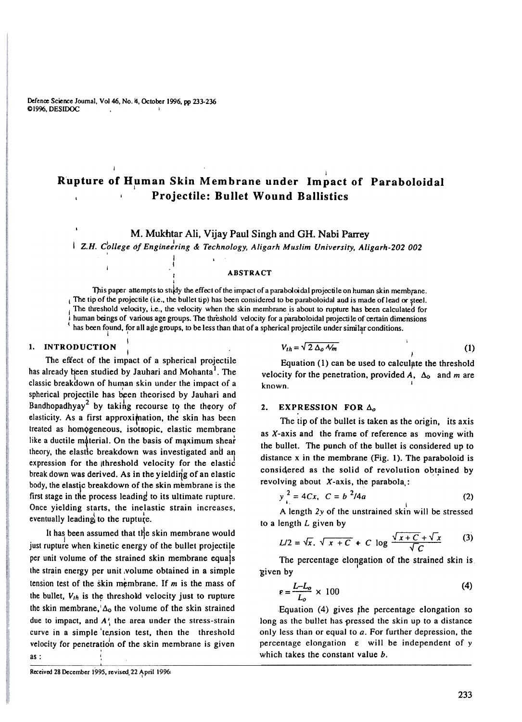Defence Science Journal, Vol 46, No. 4, October 1996, pp 233-236 CI996. DESIDOC I

# j Rupture of Human Skin Membrane under Impact of Parabol Projectile: Bullet Wound Ballistics

## M. Mukhtar Ali, Vijay Paul Singh and GH. Nabi Parrey

 $\mid$  Z.H. College of Engineering & Technology, Aligarh Muslim University, Aligarh-202 002

## **ABSTRACT**

This paper attempts to study the effect of the impact of a paraboloidal projectile on human skin membrane. If the tip of the projectile (i.e., the bullet tip) has been considered to be paraboloidal and is made of lead or steel. The threshold velocity, i.e., the velocity when the skin membrane is about to rupture has been calculated for human beings of various age groups. The threshold velocity for a paraboloidal projectile of certain dimensions ( has been found, for all age groups, to be less than that of a spherical projectile under similar conditions. and, for an age groups, to be ress than that or a spilerical projective timed similar

### I. INTRODUCTION

I The effect of the impact of a spherical projecti has already been studied by Jauhari and Mohanta<sup>1</sup>. The classic breakdown of human skin under the impact of a International projectile has been theorised by Jauhari and Bandhopadhyay<sup>2</sup> by taking recourse to the theory of elasticity. As a first approximation, the skin has been treated as homogeneous, isotropic, elastic membrane like a ductile material. On the basis of maximum shear theory, the elastic breakdown was investigated and an expression for the tthreshold velocity for the elastic break down was derived. As in the yielding of an elastic body, the elastic breakdown of the skin membrane is the first stage in the process leading to its ultimate rupture. Once yielding starts, the inelastic strain increases,  $\frac{1}{2}$  eventually leading to the rupture

I

t

I

It has been assumed that the skin membrane would just rupture when kinetic energy of the bullet projectil per unit volume of the strained skin membrane equals the strain energy per unit .volume obtained in a simple tension test of the skin membrane. If m is the mass of  $L-I$ the bullet,  $V_{th}$  is the threshold velocity just to rupture  $F_{\text{eff}}$ the skin membrane,  $\Delta_0$  the volume of the skin strained due to impact, and  $A'_{\perp}$  the area under the stress-strain curve in a simple 'tension test, then the threshold velocity for penetration of the skin membrane is given as :

$$
V_{th} = \sqrt{2 \Delta_o A/m}
$$
 (1)

Equation (1) can be used to calculate the threshold velocity for the penetration, provided A,  $\Delta_0$  and m are known. I

#### 2. EXPRESSION FOR  $\Delta_o$

The tip of the bullet is taken as the origin, its axis as X-axis and the frame of reference as moving with the bullet. The punch of the bullet is considered up to distance x in the membrane (Fig. I). The paraboloid is considered as the solid of revolution obtained by revolving about  $X$ -axis, the parabola,:

$$
y_{i}^{2} = 4Cx, \ C = b^{2}/4a
$$
 (2)

A length 2y of the unstrained skin will be stressed to a length  $L$  given by

$$
L/2 = \sqrt{x}.\ \sqrt{x + C} + C \log \frac{\sqrt{x + C} + \sqrt{x}}{\sqrt{C}} \tag{3}
$$

The percentage elongation of the strained skin is -given by

$$
E = \frac{L - L_o}{L_o} \times 100 \tag{4}
$$

Equation  $(4)$  gives the percentage elongation so long as the bullet has pressed the skin up to a distance only less than or equal to a. For further depression, the percentage elongation e will be independent of y which takes the constant value b.

Received 28 December 1995, revised 22 April 1996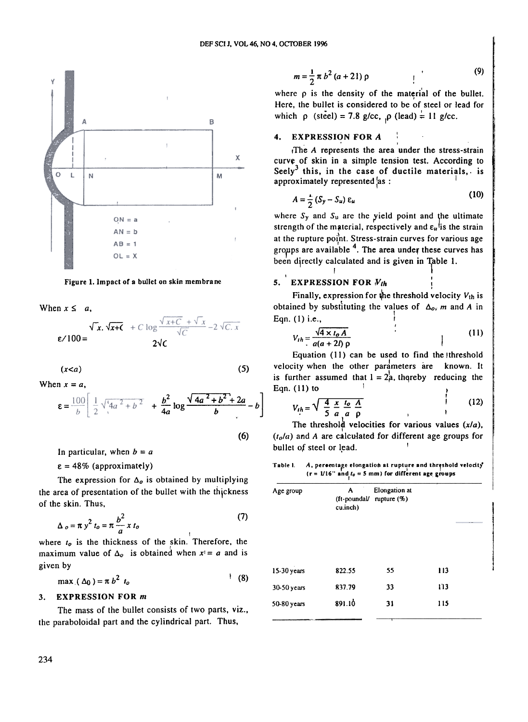

Figure 1. Impact of a bullet on skin membrane

When  $x \leq a$ ,

$$
\sqrt{x}.\sqrt{x+C} + C \log \frac{\sqrt{x+C} + \sqrt{x}}{\sqrt{C}} - 2\sqrt{C}.\overline{x}
$$
  
 
$$
2\sqrt{C}
$$

$$
(x
$$

When  $x = a$ ,

$$
\varepsilon = \frac{100}{b} \left[ \frac{1}{2} \sqrt{4a^2 + b^2} + \frac{b^2}{4a} \log \frac{\sqrt{4a^2 + b^2} + 2a}{b} - b \right]
$$

(6)

In particular, when  $b = a$ 

 $\epsilon = 48\%$  (approximately)

The expression for  $\Delta_{o}$  is obtained by multiplying the area of presentation of the bullet with the thickness of the skin. Thus,

$$
\Delta_o = \pi y^2 t_o = \pi \frac{b^2}{a} x t_o \tag{7}
$$

$$
\max_{\lambda} (\Delta_0) = \pi b^2 t_o
$$
 (8)

## 3. EXPRESSION FOR m

The mass of the bullet consists of two parts, viz., the paraboloidal part and the cylindrical part. Thus,

$$
m = \frac{1}{2} \pi b^2 (a + 21) p
$$
 (9)

where  $\rho$  is the density of the material of the bullet Here, the bullet is considered to be of steel or lead for which  $\rho$  (steel) = 7.8 g/cc,  $\rho$  (lead) = 11 g/cc

#### 4. EXPRESSION FOR A

, The A represents the area under the stress-straincurve of skin in a simple tension test. According to Seely<sup>3</sup> this, in the case of ductile materials, is approximately represented  $\vert$ as:

$$
A = \frac{1}{2} \left( S_y - S_u \right) \varepsilon_u \tag{10}
$$

where  $S_y$  and  $S_u$  are the yield point and the ultimate strength of the material, respectively and  $\varepsilon_{\mu}$ <sup>t</sup> is the strain at the rupture point. Stress-strain curves for various age groups are available  $4$ . The area under these curves has been directly calculated and is given in Table 1.

#### ,  $\mathbf{I}$ 5. EXPRESSION FOR  $N_{th}$  1

Finally, expression for the threshold velocity  $V_{th}$  is obtained by substituting the values of  $\Delta_{\alpha}$ , m and A in Eqn. $(1)$  i.e.,

$$
V_{th} = \frac{\sqrt{4 \times t_o A}}{a(a + 2l) \rho}
$$
 (11)

Equation  $(11)$  can be used to find the threshold velocity when the other parameters are known. It is further assumed that  $1 = 2^1_A$ , thereby reducing the Eqn. (11) to  $\frac{1}{2}$ 

$$
V_{th} = \sqrt{\frac{4}{5} \frac{x}{a}} \frac{t_o}{a} \frac{A}{p}
$$
 (12)

The threshold velocities for various values  $(x/a)$ ,  $(t<sub>o</sub>/a)$  and A are calculated for different age groups for bullet of steel or lead.

 $A$ , percentage elongation at rupture and threshold velocity (r =  $1/16$ " and  $t_0 = 5$  mm) for different age grou Table I.

| The expression for $\Delta_0$ is obtained by multiplying                        |             |                               |                                 |     |  |
|---------------------------------------------------------------------------------|-------------|-------------------------------|---------------------------------|-----|--|
| the area of presentation of the bullet with the thickness<br>of the skin. Thus, | Age group   | A<br>(ft-poundal/<br>cu.inch) | Elongation at<br>rupture $(\%)$ |     |  |
| (7)<br>$\Delta_0 = \pi y^2 t_o = \pi \frac{b^2}{a} x t_o$                       |             |                               |                                 |     |  |
| where $to$ is the thickness of the skin. Therefore, the                         |             |                               |                                 |     |  |
| maximum value of $\Delta_{o}$ is obtained when $x = a$ and is                   |             |                               |                                 |     |  |
| given by                                                                        | 15-30 years | 822.55                        | 55                              | 113 |  |
| (8)<br>max $(\Delta_0) = \pi b^2 t_o$                                           | 30-50 years | 837.79                        | 33                              | 113 |  |
| <b>EXPRESSION FOR m</b><br>3.                                                   |             | 891.10                        | 31                              | 115 |  |
| The mass of the bullet consists of two parts, viz.,                             | 50-80 years |                               |                                 |     |  |
| the paraboloidal part and the cylindrical part Thus                             |             |                               |                                 |     |  |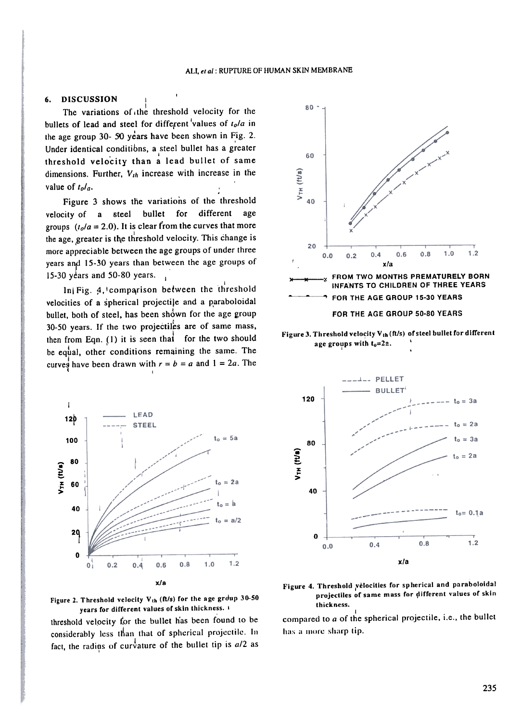#### **DISCUSSION** 6.

The variations of the threshold velocity for the bullets of lead and steel for different values of  $t_0/a$  in the age group 30- 50 years have been shown in Fig. 2. Under identical conditions, a steel bullet has a greater threshold velocity than a lead bullet of same dimensions. Further,  $V_{th}$  increase with increase in the value of  $t_0/a$ .

Figure 3 shows the variations of the threshold velocity of a steel bullet for different age groups  $(t_0/a = 2.0)$ . It is clear from the curves that more the age, greater is the threshold velocity. This change is more appreciable between the age groups of under three years and 15-30 years than between the age groups of 15-30 years and 50-80 years.

In Fig. 4, comparison between the threshold velocities of a spherical projectile and a paraboloidal bullet, both of steel, has been shown for the age group 30-50 years. If the two projectiles are of same mass, then from Eqn. (1) it is seen that for the two should be equal, other conditions remaining the same. The curves have been drawn with  $r = b = a$  and  $1 = 2a$ . The



Figure 2. Threshold velocity  $V_{th}$  (ft/s) for the age group 30-50 years for different values of skin thickness.

threshold velocity for the bullet has been found to be considerably less than that of spherical projectile. In fact, the radius of curvature of the bullet tip is a/2 as



Figure 3. Threshold velocity V<sub>th</sub> (ft/s) of steel bullet for different age groups with  $t_0 = 2a$ .



Figure 4. Threshold velocities for spherical and paraboloidal projectiles of same mass for different values of skin thickness.

compared to a of the spherical projectile, i.e., the bullet has a more sharp tip.